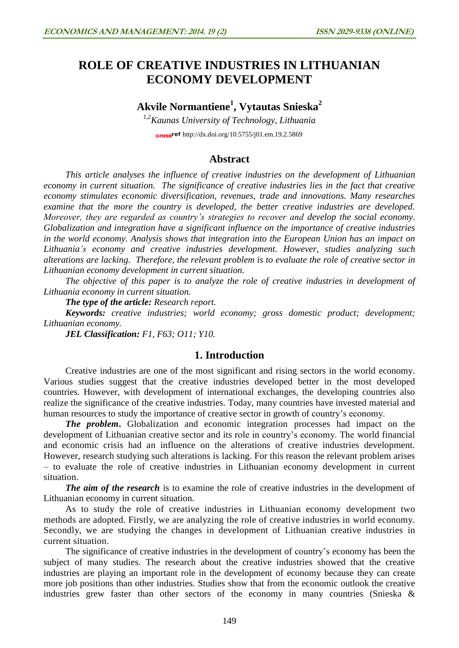# **ROLE OF CREATIVE INDUSTRIES IN LITHUANIAN ECONOMY DEVELOPMENT**

# **Akvile Normantiene<sup>1</sup> , Vytautas Snieska<sup>2</sup>**

*1,2Kaunas University of Technology, Lithuania* cross<sup>ref</sup> <http://dx.doi.org/10.5755/j01.em.19.2.5869>

## **Abstract**

*This article analyses the influence of creative industries on the development of Lithuanian economy in current situation. The significance of creative industries lies in the fact that creative economy stimulates economic diversification, revenues, trade and innovations. Many researches examine that the more the country is developed, the better creative industries are developed. Moreover, they are regarded as country's strategies to recover and develop the social economy. Globalization and integration have a significant influence on the importance of creative industries in the world economy. Analysis shows that integration into the European Union has an impact on Lithuania's economy and creative industries development. However, studies analyzing such alterations are lacking. Therefore, the relevant problem is to evaluate the role of creative sector in Lithuanian economy development in current situation.* 

*The objective of this paper is to analyze the role of creative industries in development of Lithuania economy in current situation.*

*The type of the article: Research report.*

*Keywords: creative industries; world economy; gross domestic product; development; Lithuanian economy.* 

*JEL Classification: F1, F63; O11; Y10.*

### **1. Introduction**

Creative industries are one of the most significant and rising sectors in the world economy. Various studies suggest that the creative industries developed better in the most developed countries. However, with development of international exchanges, the developing countries also realize the significance of the creative industries. Today, many countries have invested material and human resources to study the importance of creative sector in growth of country's economy.

*The problem***.** Globalization and economic integration processes had impact on the development of Lithuanian creative sector and its role in country's economy. The world financial and economic crisis had an influence on the alterations of creative industries development. However, research studying such alterations is lacking. For this reason the relevant problem arises – to evaluate the role of creative industries in Lithuanian economy development in current situation.

*The aim of the research* is to examine the role of creative industries in the development of Lithuanian economy in current situation.

As to study the role of creative industries in Lithuanian economy development two methods are adopted. Firstly, we are analyzing the role of creative industries in world economy. Secondly, we are studying the changes in development of Lithuanian creative industries in current situation.

The significance of creative industries in the development of country's economy has been the subject of many studies. The research about the creative industries showed that the creative industries are playing an important role in the development of economy because they can create more job positions than other industries. Studies show that from the economic outlook the creative industries grew faster than other sectors of the economy in many countries (Snieska &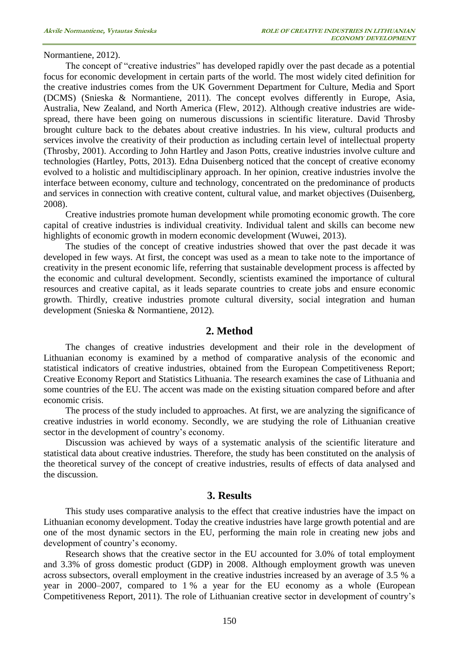Normantiene, 2012).

The concept of "creative industries" has developed rapidly over the past decade as a potential focus for economic development in certain parts of the world. The most widely cited definition for the creative industries comes from the UK Government Department for Culture, Media and Sport (DCMS) (Snieska & Normantiene, 2011). The concept evolves differently in Europe, Asia, Australia, New Zealand, and North America (Flew, 2012). Although creative industries are widespread, there have been going on numerous discussions in scientific literature. David Throsby brought culture back to the debates about creative industries. In his view, cultural products and services involve the creativity of their production as including certain level of intellectual property (Throsby, 2001). According to John Hartley and Jason Potts, creative industries involve culture and technologies (Hartley, Potts, 2013). Edna Duisenberg noticed that the concept of creative economy evolved to a holistic and multidisciplinary approach. In her opinion, creative industries involve the interface between economy, culture and technology, concentrated on the predominance of products and services in connection with creative content, cultural value, and market objectives (Duisenberg, 2008).

Creative industries promote human development while promoting economic growth. The core capital of creative industries is individual creativity. Individual talent and skills can become new highlights of economic growth in modern economic development (Wuwei, 2013).

The studies of the concept of creative industries showed that over the past decade it was developed in few ways. At first, the concept was used as a mean to take note to the importance of creativity in the present economic life, referring that sustainable development process is affected by the economic and cultural development. Secondly, scientists examined the importance of cultural resources and creative capital, as it leads separate countries to create jobs and ensure economic growth. Thirdly, creative industries promote cultural diversity, social integration and human development (Snieska & Normantiene, 2012).

#### **2. Method**

The changes of creative industries development and their role in the development of Lithuanian economy is examined by a method of comparative analysis of the economic and statistical indicators of creative industries, obtained from the European Competitiveness Report; Creative Economy Report and Statistics Lithuania. The research examines the case of Lithuania and some countries of the EU. The accent was made on the existing situation compared before and after economic crisis.

The process of the study included to approaches. At first, we are analyzing the significance of creative industries in world economy. Secondly, we are studying the role of Lithuanian creative sector in the development of country's economy.

Discussion was achieved by ways of a systematic analysis of the scientific literature and statistical data about creative industries. Therefore, the study has been constituted on the analysis of the theoretical survey of the concept of creative industries, results of effects of data analysed and the discussion.

#### **3. Results**

This study uses comparative analysis to the effect that creative industries have the impact on Lithuanian economy development. Today the creative industries have large growth potential and are one of the most dynamic sectors in the EU, performing the main role in creating new jobs and development of country's economy.

Research shows that the creative sector in the EU accounted for 3.0% of total employment and 3.3% of gross domestic product (GDP) in 2008. Although employment growth was uneven across subsectors, overall employment in the creative industries increased by an average of 3.5 % a year in 2000–2007, compared to 1 % a year for the EU economy as a whole (European Competitiveness Report, 2011). The role of Lithuanian creative sector in development of country's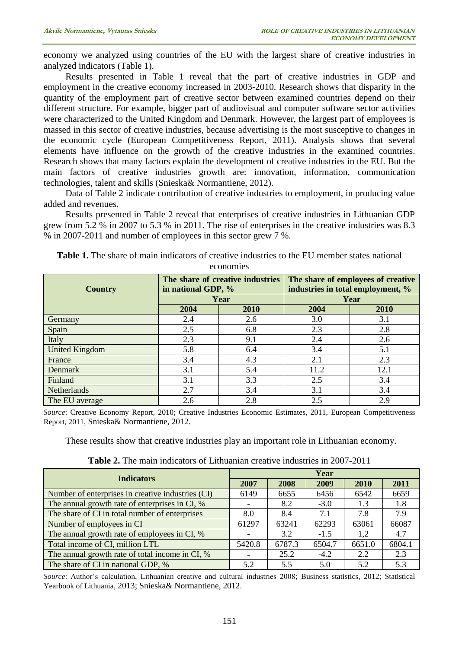economy we analyzed using countries of the EU with the largest share of creative industries in analyzed indicators (Table 1).

Results presented in Table 1 reveal that the part of creative industries in GDP and employment in the creative economy increased in 2003-2010. Research shows that disparity in the quantity of the employment part of creative sector between examined countries depend on their different structure. For example, bigger part of audiovisual and computer software sector activities were characterized to the United Kingdom and Denmark. However, the largest part of employees is massed in this sector of creative industries, because advertising is the most susceptive to changes in the economic cycle (European Competitiveness Report, 2011). Analysis shows that several elements have influence on the growth of the creative industries in the examined countries. Research shows that many factors explain the development of creative industries in the EU. But the main factors of creative industries growth are: innovation, information, communication technologies, talent and skills (Snieska& Normantiene, 2012).

Data of Table 2 indicate contribution of creative industries to employment, in producing value added and revenues.

Results presented in Table 2 reveal that enterprises of creative industries in Lithuanian GDP grew from 5.2 % in 2007 to 5.3 % in 2011. The rise of enterprises in the creative industries was 8.3 % in 2007-2011 and number of employees in this sector grew 7 %.

| <b>Country</b>        | in national GDP, % | The share of creative industries | The share of employees of creative<br>industries in total employment, % |             |  |
|-----------------------|--------------------|----------------------------------|-------------------------------------------------------------------------|-------------|--|
|                       |                    | Year                             | Year                                                                    |             |  |
|                       | 2004               | 2010                             | 2004                                                                    | <b>2010</b> |  |
| Germany               | 2.4                | 2.6                              | 3.0                                                                     | 3.1         |  |
| Spain                 | 2.5                | 6.8                              | 2.3                                                                     | 2.8         |  |
| Italy                 | 2.3                | 9.1                              | 2.4                                                                     | 2.6         |  |
| <b>United Kingdom</b> | 5.8                | 6.4                              | 3.4                                                                     | 5.1         |  |
| France                | 3.4                | 4.3                              | 2.1                                                                     | 2.3         |  |
| Denmark               | 3.1                | 5.4                              | 11.2                                                                    | 12.1        |  |
| Finland               | 3.1                | 3.3                              | 2.5                                                                     | 3.4         |  |
| Netherlands           | 2.7                | 3.4                              | 3.1                                                                     | 3.4         |  |
| The EU average        | 2.6                | 2.8                              | 2.5                                                                     | 2.9         |  |

**Table 1.** The share of main indicators of creative industries to the EU member states national economies

*Source*: Creative Economy Report, 2010; Creative Industries Economic Estimates, 2011, European Competitiveness Report, 2011, Snieska& Normantiene, 2012.

These results show that creative industries play an important role in Lithuanian economy.

| <b>Table 2.</b> The main indicators of Lithuanian creative industries in 2007-2011 |  |  |  |
|------------------------------------------------------------------------------------|--|--|--|
|------------------------------------------------------------------------------------|--|--|--|

| <b>Indicators</b>                                 | Year   |        |        |        |        |  |
|---------------------------------------------------|--------|--------|--------|--------|--------|--|
|                                                   | 2007   | 2008   | 2009   | 2010   | 2011   |  |
| Number of enterprises in creative industries (CI) | 6149   | 6655   | 6456   | 6542   | 6659   |  |
| The annual growth rate of enterprises in CI, %    |        | 8.2    | $-3.0$ | 1.3    | 1.8    |  |
| The share of CI in total number of enterprises    | 8.0    | 8.4    | 7.1    | 7.8    | 7.9    |  |
| Number of employees in CI                         | 61297  | 63241  | 62293  | 63061  | 66087  |  |
| The annual growth rate of employees in CI, %      |        | 3.2    | $-1.5$ | 1,2    | 4.7    |  |
| Total income of CI, million LTL                   | 5420.8 | 6787.3 | 6504.7 | 6651.0 | 6804.1 |  |
| The annual growth rate of total income in CI, %   |        | 25.2   | $-4.2$ | 2.2    | 2.3    |  |
| The share of CI in national GDP, %                | 5.2    | 5.5    | 5.0    | 5.2    | 5.3    |  |

*Source*: Author's calculation, Lithuanian creative and cultural industries 2008; Business statistics, 2012; Statistical Yearbook of Lithuania, 2013; Snieska& Normantiene, 2012.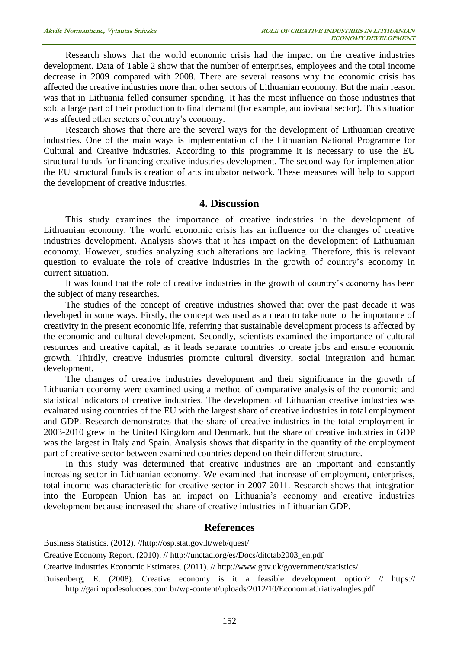Research shows that the world economic crisis had the impact on the creative industries development. Data of Table 2 show that the number of enterprises, employees and the total income decrease in 2009 compared with 2008. There are several reasons why the economic crisis has affected the creative industries more than other sectors of Lithuanian economy. But the main reason was that in Lithuania felled consumer spending. It has the most influence on those industries that sold a large part of their production to final demand (for example, audiovisual sector). This situation was affected other sectors of country's economy.

Research shows that there are the several ways for the development of Lithuanian creative industries. One of the main ways is implementation of the Lithuanian National Programme for Cultural and Creative industries. According to this programme it is necessary to use the EU structural funds for financing creative industries development. The second way for implementation the EU structural funds is creation of arts incubator network. These measures will help to support the development of creative industries.

#### **4. Discussion**

This study examines the importance of creative industries in the development of Lithuanian economy. The world economic crisis has an influence on the changes of creative industries development. Analysis shows that it has impact on the development of Lithuanian economy. However, studies analyzing such alterations are lacking. Therefore, this is relevant question to evaluate the role of creative industries in the growth of country's economy in current situation.

It was found that the role of creative industries in the growth of country's economy has been the subject of many researches.

The studies of the concept of creative industries showed that over the past decade it was developed in some ways. Firstly, the concept was used as a mean to take note to the importance of creativity in the present economic life, referring that sustainable development process is affected by the economic and cultural development. Secondly, scientists examined the importance of cultural resources and creative capital, as it leads separate countries to create jobs and ensure economic growth. Thirdly, creative industries promote cultural diversity, social integration and human development.

The changes of creative industries development and their significance in the growth of Lithuanian economy were examined using a method of comparative analysis of the economic and statistical indicators of creative industries. The development of Lithuanian creative industries was evaluated using countries of the EU with the largest share of creative industries in total employment and GDP. Research demonstrates that the share of creative industries in the total employment in 2003-2010 grew in the United Kingdom and Denmark, but the share of creative industries in GDP was the largest in Italy and Spain. Analysis shows that disparity in the quantity of the employment part of creative sector between examined countries depend on their different structure.

In this study was determined that creative industries are an important and constantly increasing sector in Lithuanian economy. We examined that increase of employment, enterprises, total income was characteristic for creative sector in 2007-2011. Research shows that integration into the European Union has an impact on Lithuania's economy and creative industries development because increased the share of creative industries in Lithuanian GDP.

#### **References**

Business Statistics. (2012). /[/http://osp.stat.gov.lt/web/quest/](http://osp.stat.gov.lt/web/quest/)

Creative Economy Report. (2010). /[/ http://unctad.org/es/Docs/ditctab2003\\_en.pdf](http://unctad.org/es/Docs/ditctab2003_en.pdf)

Creative Industries Economic Estimates. (2011). //<http://www.gov.uk/government/statistics/>

Duisenberg, E. (2008). Creative economy is it a feasible development option? // [https://](https://2011.artsummit.org/media/files/EdnadosSantosDuisenberg_WS2011presentation.pdf) [http://garimpodesolucoes.com.br/wp-content/uploads/2012/10/EconomiaCriativaIngles.pdf](https://2011.artsummit.org/media/files/EdnadosSantosDuisenberg_WS2011presentation.pdf)